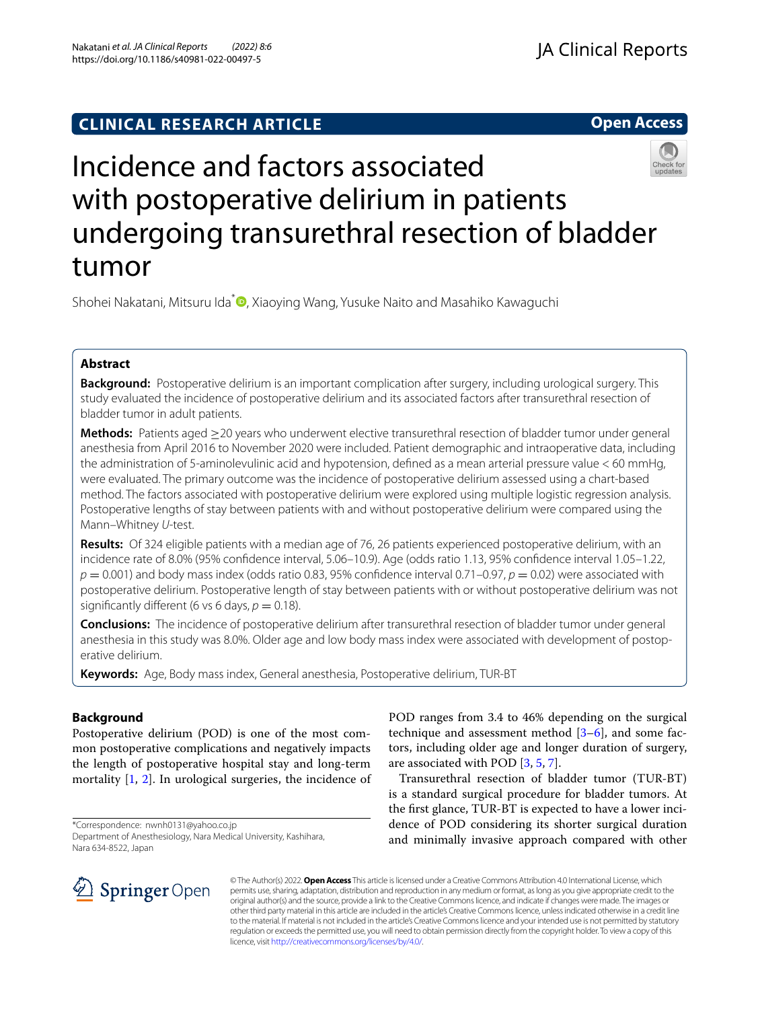**Open Access**



# Incidence and factors associated with postoperative delirium in patients undergoing transurethral resection of bladder tumor

Shohei Nakatani[,](http://orcid.org/0000-0001-5285-257X) Mitsuru Ida<sup>\*</sup> , Xiaoying Wang, Yusuke Naito and Masahiko Kawaguchi

# **Abstract**

**Background:** Postoperative delirium is an important complication after surgery, including urological surgery. This study evaluated the incidence of postoperative delirium and its associated factors after transurethral resection of bladder tumor in adult patients.

**Methods:** Patients aged ≥20 years who underwent elective transurethral resection of bladder tumor under general anesthesia from April 2016 to November 2020 were included. Patient demographic and intraoperative data, including the administration of 5-aminolevulinic acid and hypotension, defned as a mean arterial pressure value < 60 mmHg, were evaluated. The primary outcome was the incidence of postoperative delirium assessed using a chart-based method. The factors associated with postoperative delirium were explored using multiple logistic regression analysis. Postoperative lengths of stay between patients with and without postoperative delirium were compared using the Mann–Whitney *U*-test.

**Results:** Of 324 eligible patients with a median age of 76, 26 patients experienced postoperative delirium, with an incidence rate of 8.0% (95% confdence interval, 5.06–10.9). Age (odds ratio 1.13, 95% confdence interval 1.05–1.22,  $p = 0.001$ ) and body mass index (odds ratio 0.83, 95% confidence interval 0.71–0.97,  $p = 0.02$ ) were associated with postoperative delirium. Postoperative length of stay between patients with or without postoperative delirium was not significantly different (6 vs 6 days,  $p = 0.18$ ).

**Conclusions:** The incidence of postoperative delirium after transurethral resection of bladder tumor under general anesthesia in this study was 8.0%. Older age and low body mass index were associated with development of postoperative delirium.

**Keywords:** Age, Body mass index, General anesthesia, Postoperative delirium, TUR-BT

## **Background**

Postoperative delirium (POD) is one of the most common postoperative complications and negatively impacts the length of postoperative hospital stay and long-term mortality [\[1,](#page-4-0) [2](#page-5-0)]. In urological surgeries, the incidence of

\*Correspondence: nwnh0131@yahoo.co.jp

Department of Anesthesiology, Nara Medical University, Kashihara, Nara 634-8522, Japan



POD ranges from 3.4 to 46% depending on the surgical technique and assessment method [[3–](#page-5-1)[6\]](#page-5-2), and some factors, including older age and longer duration of surgery, are associated with POD [[3,](#page-5-1) [5](#page-5-3), [7\]](#page-5-4).

Transurethral resection of bladder tumor (TUR-BT) is a standard surgical procedure for bladder tumors. At the frst glance, TUR-BT is expected to have a lower incidence of POD considering its shorter surgical duration and minimally invasive approach compared with other

© The Author(s) 2022. **Open Access** This article is licensed under a Creative Commons Attribution 4.0 International License, which permits use, sharing, adaptation, distribution and reproduction in any medium or format, as long as you give appropriate credit to the original author(s) and the source, provide a link to the Creative Commons licence, and indicate if changes were made. The images or other third party material in this article are included in the article's Creative Commons licence, unless indicated otherwise in a credit line to the material. If material is not included in the article's Creative Commons licence and your intended use is not permitted by statutory regulation or exceeds the permitted use, you will need to obtain permission directly from the copyright holder. To view a copy of this licence, visit [http://creativecommons.org/licenses/by/4.0/.](http://creativecommons.org/licenses/by/4.0/)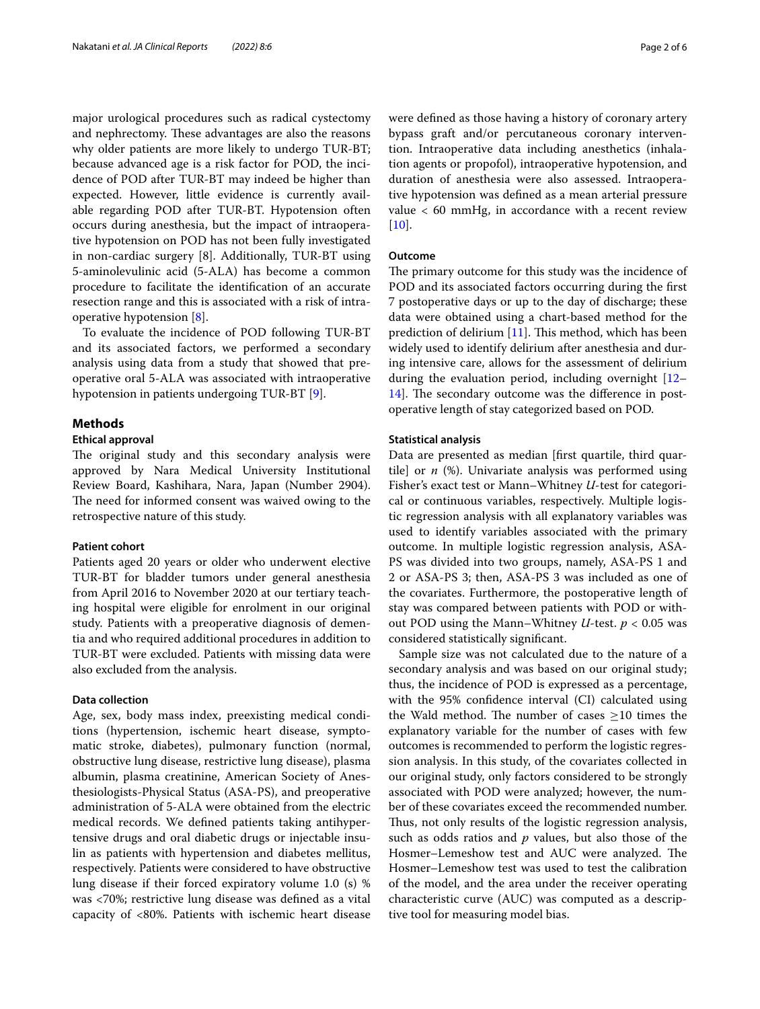major urological procedures such as radical cystectomy and nephrectomy. These advantages are also the reasons why older patients are more likely to undergo TUR-BT; because advanced age is a risk factor for POD, the incidence of POD after TUR-BT may indeed be higher than expected. However, little evidence is currently available regarding POD after TUR-BT. Hypotension often occurs during anesthesia, but the impact of intraoperative hypotension on POD has not been fully investigated in non-cardiac surgery [8]. Additionally, TUR-BT using 5-aminolevulinic acid (5-ALA) has become a common procedure to facilitate the identifcation of an accurate resection range and this is associated with a risk of intraoperative hypotension [\[8](#page-5-5)].

To evaluate the incidence of POD following TUR-BT and its associated factors, we performed a secondary analysis using data from a study that showed that preoperative oral 5-ALA was associated with intraoperative hypotension in patients undergoing TUR-BT [\[9](#page-5-6)].

## **Methods**

## **Ethical approval**

The original study and this secondary analysis were approved by Nara Medical University Institutional Review Board, Kashihara, Nara, Japan (Number 2904). The need for informed consent was waived owing to the retrospective nature of this study.

### **Patient cohort**

Patients aged 20 years or older who underwent elective TUR-BT for bladder tumors under general anesthesia from April 2016 to November 2020 at our tertiary teaching hospital were eligible for enrolment in our original study. Patients with a preoperative diagnosis of dementia and who required additional procedures in addition to TUR-BT were excluded. Patients with missing data were also excluded from the analysis.

#### **Data collection**

Age, sex, body mass index, preexisting medical conditions (hypertension, ischemic heart disease, symptomatic stroke, diabetes), pulmonary function (normal, obstructive lung disease, restrictive lung disease), plasma albumin, plasma creatinine, American Society of Anesthesiologists-Physical Status (ASA-PS), and preoperative administration of 5-ALA were obtained from the electric medical records. We defned patients taking antihypertensive drugs and oral diabetic drugs or injectable insulin as patients with hypertension and diabetes mellitus, respectively. Patients were considered to have obstructive lung disease if their forced expiratory volume 1.0 (s) % was <70%; restrictive lung disease was defned as a vital capacity of <80%. Patients with ischemic heart disease were defned as those having a history of coronary artery bypass graft and/or percutaneous coronary intervention. Intraoperative data including anesthetics (inhalation agents or propofol), intraoperative hypotension, and duration of anesthesia were also assessed. Intraoperative hypotension was defned as a mean arterial pressure value < 60 mmHg, in accordance with a recent review  $[10]$  $[10]$ .

## **Outcome**

The primary outcome for this study was the incidence of POD and its associated factors occurring during the frst 7 postoperative days or up to the day of discharge; these data were obtained using a chart-based method for the prediction of delirium  $[11]$  $[11]$ . This method, which has been widely used to identify delirium after anesthesia and during intensive care, allows for the assessment of delirium during the evaluation period, including overnight [[12–](#page-5-9) [14\]](#page-5-10). The secondary outcome was the difference in postoperative length of stay categorized based on POD.

## **Statistical analysis**

Data are presented as median [frst quartile, third quartile] or *n* (%). Univariate analysis was performed using Fisher's exact test or Mann–Whitney *U*-test for categorical or continuous variables, respectively. Multiple logistic regression analysis with all explanatory variables was used to identify variables associated with the primary outcome. In multiple logistic regression analysis, ASA-PS was divided into two groups, namely, ASA-PS 1 and 2 or ASA-PS 3; then, ASA-PS 3 was included as one of the covariates. Furthermore, the postoperative length of stay was compared between patients with POD or without POD using the Mann–Whitney *U*-test. *p* < 0.05 was considered statistically signifcant.

Sample size was not calculated due to the nature of a secondary analysis and was based on our original study; thus, the incidence of POD is expressed as a percentage, with the 95% confdence interval (CI) calculated using the Wald method. The number of cases  $\geq$ 10 times the explanatory variable for the number of cases with few outcomes is recommended to perform the logistic regression analysis. In this study, of the covariates collected in our original study, only factors considered to be strongly associated with POD were analyzed; however, the number of these covariates exceed the recommended number. Thus, not only results of the logistic regression analysis, such as odds ratios and *p* values, but also those of the Hosmer–Lemeshow test and AUC were analyzed. The Hosmer–Lemeshow test was used to test the calibration of the model, and the area under the receiver operating characteristic curve (AUC) was computed as a descriptive tool for measuring model bias.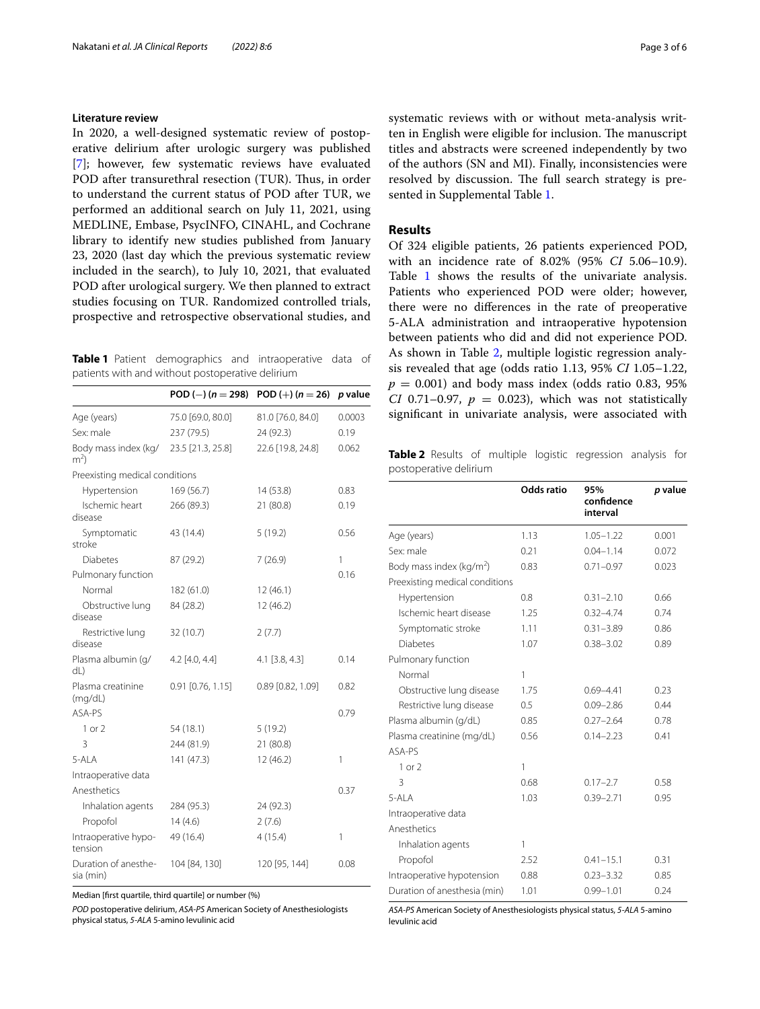## **Literature review**

In 2020, a well-designed systematic review of postoperative delirium after urologic surgery was published [[7\]](#page-5-4); however, few systematic reviews have evaluated POD after transurethral resection (TUR). Thus, in order to understand the current status of POD after TUR, we performed an additional search on July 11, 2021, using MEDLINE, Embase, PsycINFO, CINAHL, and Cochrane library to identify new studies published from January 23, 2020 (last day which the previous systematic review included in the search), to July 10, 2021, that evaluated POD after urological surgery. We then planned to extract studies focusing on TUR. Randomized controlled trials, prospective and retrospective observational studies, and

<span id="page-2-0"></span>**Table 1** Patient demographics and intraoperative data of patients with and without postoperative delirium

|                                        | POD (-) ( $n = 298$ ) | POD $(+) (n = 26)$ | p value |
|----------------------------------------|-----------------------|--------------------|---------|
| Age (years)                            | 75.0 [69.0, 80.0]     | 81.0 [76.0, 84.0]  | 0.0003  |
| Sex: male                              | 237 (79.5)            | 24 (92.3)          | 0.19    |
| Body mass index (kg/<br>m <sup>2</sup> | 23.5 [21.3, 25.8]     | 22.6 [19.8, 24.8]  | 0.062   |
| Preexisting medical conditions         |                       |                    |         |
| Hypertension                           | 169 (56.7)            | 14(53.8)           | 0.83    |
| Ischemic heart<br>disease              | 266 (89.3)            | 21 (80.8)          | 0.19    |
| Symptomatic<br>stroke                  | 43 (14.4)             | 5(19.2)            | 0.56    |
| <b>Diabetes</b>                        | 87 (29.2)             | 7(26.9)            | 1       |
| Pulmonary function                     |                       |                    | 0.16    |
| Normal                                 | 182 (61.0)            | 12(46.1)           |         |
| Obstructive lung<br>disease            | 84 (28.2)             | 12 (46.2)          |         |
| Restrictive lung<br>disease            | 32 (10.7)             | 2(7.7)             |         |
| Plasma albumin (q/<br>dL)              | $4.2$ [4.0, 4.4]      | $4.1$ [3.8, 4.3]   | 0.14    |
| Plasma creatinine<br>(mq/dL)           | $0.91$ [0.76, 1.15]   | 0.89 [0.82, 1.09]  | 0.82    |
| ASA-PS                                 |                       |                    | 0.79    |
| 1 or 2                                 | 54 (18.1)             | 5(19.2)            |         |
| 3                                      | 244 (81.9)            | 21 (80.8)          |         |
| 5-ALA                                  | 141 (47.3)            | 12 (46.2)          | 1       |
| Intraoperative data                    |                       |                    |         |
| Anesthetics                            |                       |                    | 0.37    |
| Inhalation agents                      | 284 (95.3)            | 24 (92.3)          |         |
| Propofol                               | 14(4.6)               | 2(7.6)             |         |
| Intraoperative hypo-<br>tension        | 49 (16.4)             | 4(15.4)            | 1       |
| Duration of anesthe-<br>sia (min)      | 104 [84, 130]         | 120 [95, 144]      | 0.08    |

Median [frst quartile, third quartile] or number (%)

*POD* postoperative delirium, *ASA-PS* American Society of Anesthesiologists physical status, *5-ALA* 5-amino levulinic acid

systematic reviews with or without meta-analysis written in English were eligible for inclusion. The manuscript titles and abstracts were screened independently by two of the authors (SN and MI). Finally, inconsistencies were resolved by discussion. The full search strategy is presented in Supplemental Table [1](#page-4-1).

## **Results**

Of 324 eligible patients, 26 patients experienced POD, with an incidence rate of 8.02% (95% *CI* 5.06–10.9). Table [1](#page-2-0) shows the results of the univariate analysis. Patients who experienced POD were older; however, there were no diferences in the rate of preoperative 5-ALA administration and intraoperative hypotension between patients who did and did not experience POD. As shown in Table [2,](#page-2-1) multiple logistic regression analysis revealed that age (odds ratio 1.13, 95% *CI* 1.05–1.22,  $p = 0.001$ ) and body mass index (odds ratio 0.83, 95%) *CI* 0.71–0.97,  $p = 0.023$ , which was not statistically signifcant in univariate analysis, were associated with

<span id="page-2-1"></span>**Table 2** Results of multiple logistic regression analysis for postoperative delirium

|                                      | Odds ratio | 95%<br>confidence<br>interval | <i>p</i> value |
|--------------------------------------|------------|-------------------------------|----------------|
| Age (years)                          | 1.13       | $1.05 - 1.22$                 | 0.001          |
| Sex: male                            | 0.21       | $0.04 - 1.14$                 | 0.072          |
| Body mass index (kg/m <sup>2</sup> ) | 0.83       | $0.71 - 0.97$                 | 0.023          |
| Preexisting medical conditions       |            |                               |                |
| Hypertension                         | 0.8        | $0.31 - 2.10$                 | 0.66           |
| Ischemic heart disease               | 1.25       | $0.32 - 4.74$                 | 0.74           |
| Symptomatic stroke                   | 1.11       | $0.31 - 3.89$                 | 0.86           |
| <b>Diabetes</b>                      | 1.07       | $0.38 - 3.02$                 | 0.89           |
| Pulmonary function                   |            |                               |                |
| Normal                               | 1          |                               |                |
| Obstructive lung disease             | 1.75       | $0.69 - 4.41$                 | 0.23           |
| Restrictive lung disease             | 0.5        | $0.09 - 2.86$                 | 0.44           |
| Plasma albumin (g/dL)                | 0.85       | $0.27 - 2.64$                 | 0.78           |
| Plasma creatinine (mg/dL)            | 0.56       | $0.14 - 2.23$                 | 0.41           |
| ASA-PS                               |            |                               |                |
| $1$ or $2$                           | 1          |                               |                |
| 3                                    | 0.68       | $0.17 - 2.7$                  | 0.58           |
| $5-AI$ A                             | 1.03       | $0.39 - 2.71$                 | 0.95           |
| Intraoperative data                  |            |                               |                |
| Anesthetics                          |            |                               |                |
| Inhalation agents                    | 1          |                               |                |
| Propofol                             | 2.52       | $0.41 - 15.1$                 | 0.31           |
| Intraoperative hypotension           | 0.88       | $0.23 - 3.32$                 | 0.85           |
| Duration of anesthesia (min)         | 1.01       | $0.99 - 1.01$                 | 0.24           |

*ASA-PS* American Society of Anesthesiologists physical status, *5-ALA* 5-amino levulinic acid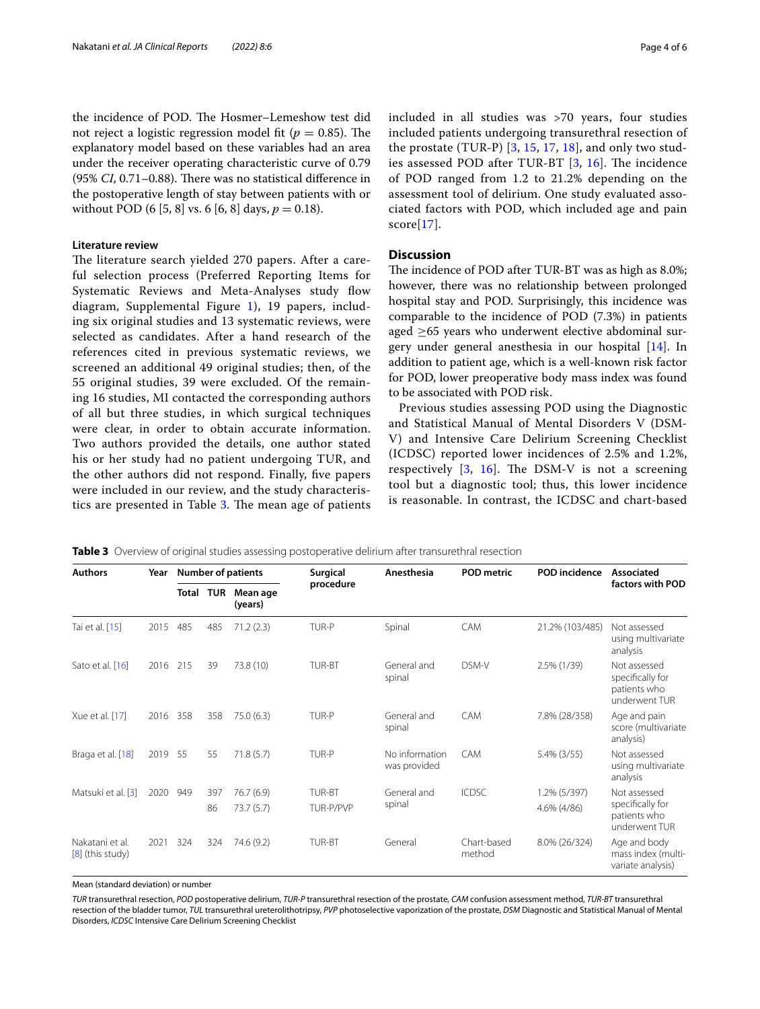the incidence of POD. The Hosmer–Lemeshow test did not reject a logistic regression model fit ( $p = 0.85$ ). The explanatory model based on these variables had an area under the receiver operating characteristic curve of 0.79 (95% *CI*, 0.71–0.88). There was no statistical difference in the postoperative length of stay between patients with or without POD (6 [5, 8] vs. 6 [6, 8] days,  $p = 0.18$ ).

#### **Literature review**

The literature search yielded 270 papers. After a careful selection process (Preferred Reporting Items for Systematic Reviews and Meta-Analyses study flow diagram, Supplemental Figure [1\)](#page-4-2), 19 papers, including six original studies and 13 systematic reviews, were selected as candidates. After a hand research of the references cited in previous systematic reviews, we screened an additional 49 original studies; then, of the 55 original studies, 39 were excluded. Of the remaining 16 studies, MI contacted the corresponding authors of all but three studies, in which surgical techniques were clear, in order to obtain accurate information. Two authors provided the details, one author stated his or her study had no patient undergoing TUR, and the other authors did not respond. Finally, fve papers were included in our review, and the study characteris-tics are presented in Table [3.](#page-3-0) The mean age of patients included in all studies was >70 years, four studies included patients undergoing transurethral resection of the prostate (TUR-P)  $[3, 15, 17, 18]$  $[3, 15, 17, 18]$  $[3, 15, 17, 18]$  $[3, 15, 17, 18]$  $[3, 15, 17, 18]$  $[3, 15, 17, 18]$  $[3, 15, 17, 18]$ , and only two studies assessed POD after TUR-BT  $[3, 16]$  $[3, 16]$  $[3, 16]$  $[3, 16]$ . The incidence of POD ranged from 1.2 to 21.2% depending on the assessment tool of delirium. One study evaluated associated factors with POD, which included age and pain score[\[17](#page-5-12)].

## **Discussion**

The incidence of POD after TUR-BT was as high as 8.0%; however, there was no relationship between prolonged hospital stay and POD. Surprisingly, this incidence was comparable to the incidence of POD (7.3%) in patients aged  $\geq$ 65 years who underwent elective abdominal surgery under general anesthesia in our hospital [[14\]](#page-5-10). In addition to patient age, which is a well-known risk factor for POD, lower preoperative body mass index was found to be associated with POD risk.

Previous studies assessing POD using the Diagnostic and Statistical Manual of Mental Disorders V (DSM-V) and Intensive Care Delirium Screening Checklist (ICDSC) reported lower incidences of 2.5% and 1.2%, respectively  $[3, 16]$  $[3, 16]$  $[3, 16]$  $[3, 16]$ . The DSM-V is not a screening tool but a diagnostic tool; thus, this lower incidence is reasonable. In contrast, the ICDSC and chart-based

| <b>Authors</b>                        | Year | <b>Number of patients</b> |            | Surgical            | Anesthesia    | <b>POD metric</b>              | <b>POD</b> incidence  | <b>Associated</b> |                                                                   |  |  |  |  |  |  |  |  |  |  |     |     |           |        |             |              |                 |              |
|---------------------------------------|------|---------------------------|------------|---------------------|---------------|--------------------------------|-----------------------|-------------------|-------------------------------------------------------------------|--|--|--|--|--|--|--|--|--|--|-----|-----|-----------|--------|-------------|--------------|-----------------|--------------|
|                                       |      | Total                     | <b>TUR</b> | Mean age<br>(years) | procedure     |                                |                       |                   | factors with POD                                                  |  |  |  |  |  |  |  |  |  |  |     |     |           |        |             |              |                 |              |
| Tai et al. [15]                       | 2015 | 485                       | 485        | 71.2(2.3)           | TUR-P         | Spinal                         | CAM                   | 21.2% (103/485)   | Not assessed<br>using multivariate<br>analysis                    |  |  |  |  |  |  |  |  |  |  |     |     |           |        |             |              |                 |              |
| Sato et al. [16]                      | 2016 | 215                       | 39         | 73.8 (10)           | TUR-BT        | General and<br>spinal          | DSM-V                 | 2.5% (1/39)       | Not assessed<br>specifically for<br>patients who<br>underwent TUR |  |  |  |  |  |  |  |  |  |  |     |     |           |        |             |              |                 |              |
| Xue et al. [17]                       | 2016 | 358                       | 358        | 75.0(6.3)           | TUR-P         | General and<br>spinal          | CAM                   | 7.8% (28/358)     | Age and pain<br>score (multivariate<br>analysis)                  |  |  |  |  |  |  |  |  |  |  |     |     |           |        |             |              |                 |              |
| Braga et al. [18]                     | 2019 | 55                        | 55         | 71.8(5.7)           | TUR-P         | No information<br>was provided | CAM                   | $5.4\%$ (3/55)    | Not assessed<br>using multivariate<br>analysis                    |  |  |  |  |  |  |  |  |  |  |     |     |           |        |             |              |                 |              |
| Matsuki et al. [3]                    | 2020 |                           |            |                     |               |                                |                       |                   |                                                                   |  |  |  |  |  |  |  |  |  |  | 949 | 397 | 76.7(6.9) | TUR-BT | General and | <b>ICDSC</b> | $1.2\%$ (5/397) | Not assessed |
|                                       |      |                           | 86         | 73.7(5.7)           | TUR-P/PVP     | spinal                         |                       | 4.6% (4/86)       | specifically for<br>patients who<br>underwent TUR                 |  |  |  |  |  |  |  |  |  |  |     |     |           |        |             |              |                 |              |
| Nakatani et al.<br>$[8]$ (this study) | 2021 | 324                       | 324        | 74.6 (9.2)          | <b>TUR-BT</b> | General                        | Chart-based<br>method | 8.0% (26/324)     | Age and body<br>mass index (multi-<br>variate analysis)           |  |  |  |  |  |  |  |  |  |  |     |     |           |        |             |              |                 |              |

<span id="page-3-0"></span>**Table 3** Overview of original studies assessing postoperative delirium after transurethral resection

Mean (standard deviation) or number

*TUR* transurethral resection, *POD* postoperative delirium, *TUR-P* transurethral resection of the prostate, *CAM* confusion assessment method, *TUR-BT* transurethral resection of the bladder tumor, *TUL* transurethral ureterolithotripsy, *PVP* photoselective vaporization of the prostate, *DSM* Diagnostic and Statistical Manual of Mental Disorders, *ICDSC* Intensive Care Delirium Screening Checklist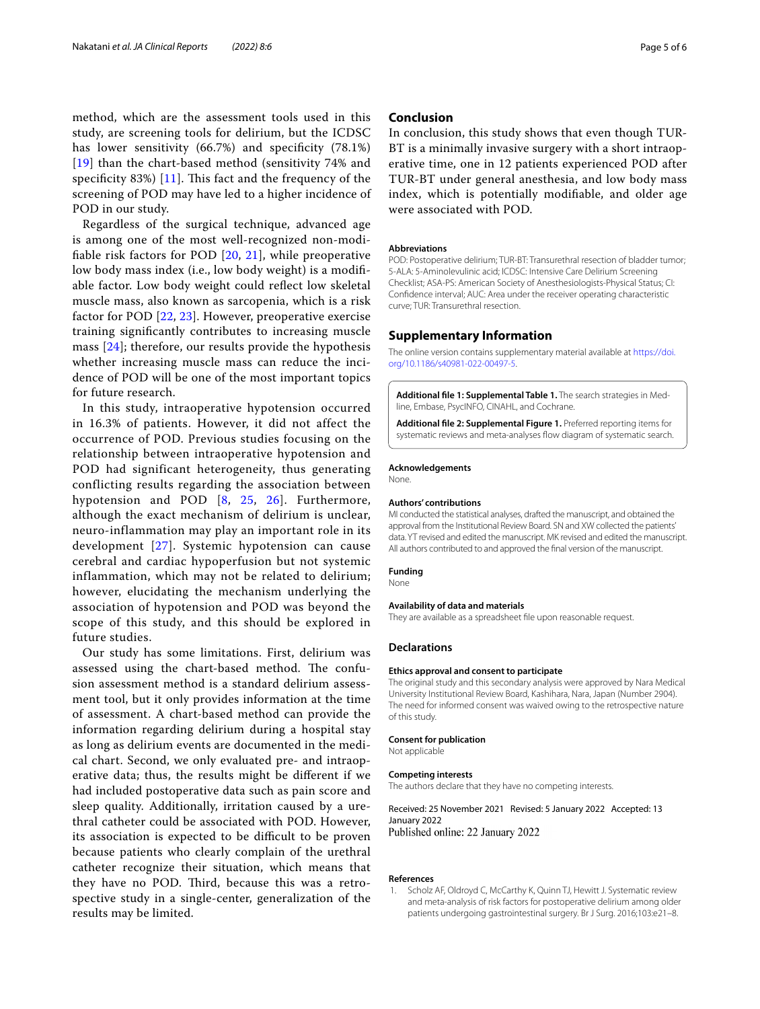method, which are the assessment tools used in this study, are screening tools for delirium, but the ICDSC has lower sensitivity (66.7%) and specifcity (78.1%) [[19](#page-5-15)] than the chart-based method (sensitivity 74% and specificity 83%)  $[11]$  $[11]$ . This fact and the frequency of the screening of POD may have led to a higher incidence of POD in our study.

Regardless of the surgical technique, advanced age is among one of the most well-recognized non-modifable risk factors for POD [[20,](#page-5-16) [21\]](#page-5-17), while preoperative low body mass index (i.e., low body weight) is a modifable factor. Low body weight could refect low skeletal muscle mass, also known as sarcopenia, which is a risk factor for POD [[22,](#page-5-18) [23\]](#page-5-19). However, preoperative exercise training signifcantly contributes to increasing muscle mass [[24\]](#page-5-20); therefore, our results provide the hypothesis whether increasing muscle mass can reduce the incidence of POD will be one of the most important topics for future research.

In this study, intraoperative hypotension occurred in 16.3% of patients. However, it did not affect the occurrence of POD. Previous studies focusing on the relationship between intraoperative hypotension and POD had significant heterogeneity, thus generating conflicting results regarding the association between hypotension and POD [[8,](#page-5-5) [25](#page-5-21), [26](#page-5-22)]. Furthermore, although the exact mechanism of delirium is unclear, neuro-inflammation may play an important role in its development [[27](#page-5-23)]. Systemic hypotension can cause cerebral and cardiac hypoperfusion but not systemic inflammation, which may not be related to delirium; however, elucidating the mechanism underlying the association of hypotension and POD was beyond the scope of this study, and this should be explored in future studies.

Our study has some limitations. First, delirium was assessed using the chart-based method. The confusion assessment method is a standard delirium assessment tool, but it only provides information at the time of assessment. A chart-based method can provide the information regarding delirium during a hospital stay as long as delirium events are documented in the medical chart. Second, we only evaluated pre- and intraoperative data; thus, the results might be diferent if we had included postoperative data such as pain score and sleep quality. Additionally, irritation caused by a urethral catheter could be associated with POD. However, its association is expected to be difficult to be proven because patients who clearly complain of the urethral catheter recognize their situation, which means that they have no POD. Third, because this was a retrospective study in a single-center, generalization of the results may be limited.

## **Conclusion**

In conclusion, this study shows that even though TUR-BT is a minimally invasive surgery with a short intraoperative time, one in 12 patients experienced POD after TUR-BT under general anesthesia, and low body mass index, which is potentially modifable, and older age were associated with POD.

#### **Abbreviations**

POD: Postoperative delirium; TUR-BT: Transurethral resection of bladder tumor; 5-ALA: 5-Aminolevulinic acid; ICDSC: Intensive Care Delirium Screening Checklist; ASA-PS: American Society of Anesthesiologists-Physical Status; CI: Confdence interval; AUC: Area under the receiver operating characteristic curve; TUR: Transurethral resection.

#### **Supplementary Information**

The online version contains supplementary material available at [https://doi.](https://doi.org/10.1186/s40981-022-00497-5) [org/10.1186/s40981-022-00497-5](https://doi.org/10.1186/s40981-022-00497-5).

<span id="page-4-2"></span><span id="page-4-1"></span>**Additional fle 1: Supplemental Table 1.** The search strategies in Medline, Embase, PsycINFO, CINAHL, and Cochrane.

**Additional fle 2: Supplemental Figure 1.** Preferred reporting items for systematic reviews and meta-analyses flow diagram of systematic search.

## **Acknowledgements**

None.

#### **Authors' contributions**

MI conducted the statistical analyses, drafted the manuscript, and obtained the approval from the Institutional Review Board. SN and XW collected the patients' data. YT revised and edited the manuscript. MK revised and edited the manuscript. All authors contributed to and approved the fnal version of the manuscript.

#### **Funding**

None

#### **Availability of data and materials**

They are available as a spreadsheet fle upon reasonable request.

#### **Declarations**

#### **Ethics approval and consent to participate**

The original study and this secondary analysis were approved by Nara Medical University Institutional Review Board, Kashihara, Nara, Japan (Number 2904). The need for informed consent was waived owing to the retrospective nature of this study.

#### **Consent for publication**

Not applicable

#### **Competing interests**

The authors declare that they have no competing interests.

## Received: 25 November 2021 Revised: 5 January 2022 Accepted: 13 January 2022

Published online: 22 January 2022

#### **References**

<span id="page-4-0"></span>1. Scholz AF, Oldroyd C, McCarthy K, Quinn TJ, Hewitt J. Systematic review and meta-analysis of risk factors for postoperative delirium among older patients undergoing gastrointestinal surgery. Br J Surg. 2016;103:e21–8.